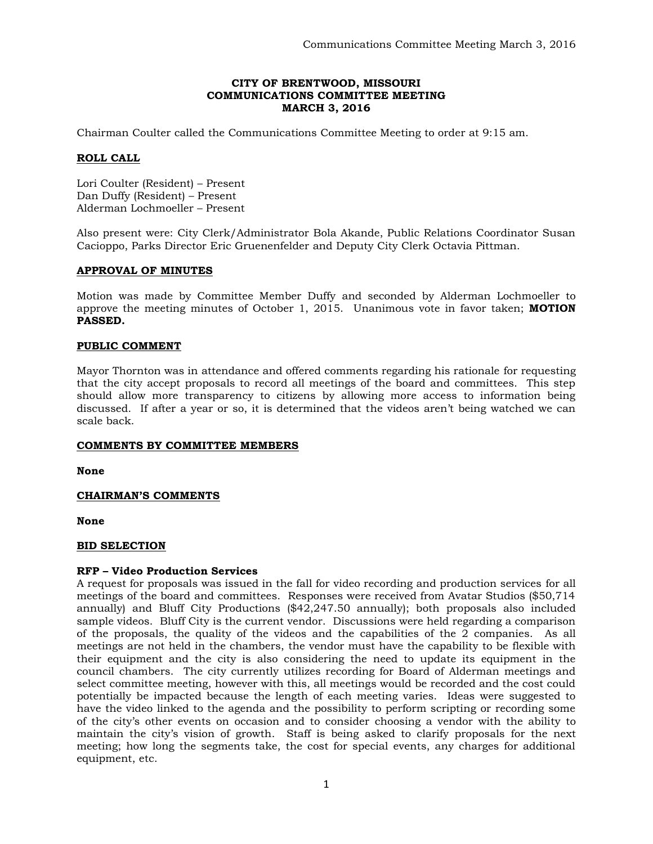## **CITY OF BRENTWOOD, MISSOURI COMMUNICATIONS COMMITTEE MEETING MARCH 3, 2016**

Chairman Coulter called the Communications Committee Meeting to order at 9:15 am.

## **ROLL CALL**

Lori Coulter (Resident) – Present Dan Duffy (Resident) – Present Alderman Lochmoeller – Present

Also present were: City Clerk/Administrator Bola Akande, Public Relations Coordinator Susan Cacioppo, Parks Director Eric Gruenenfelder and Deputy City Clerk Octavia Pittman.

## **APPROVAL OF MINUTES**

Motion was made by Committee Member Duffy and seconded by Alderman Lochmoeller to approve the meeting minutes of October 1, 2015. Unanimous vote in favor taken; **MOTION PASSED.** 

## **PUBLIC COMMENT**

Mayor Thornton was in attendance and offered comments regarding his rationale for requesting that the city accept proposals to record all meetings of the board and committees. This step should allow more transparency to citizens by allowing more access to information being discussed. If after a year or so, it is determined that the videos aren't being watched we can scale back.

#### **COMMENTS BY COMMITTEE MEMBERS**

**None**

#### **CHAIRMAN'S COMMENTS**

**None**

#### **BID SELECTION**

#### **RFP – Video Production Services**

A request for proposals was issued in the fall for video recording and production services for all meetings of the board and committees. Responses were received from Avatar Studios (\$50,714 annually) and Bluff City Productions (\$42,247.50 annually); both proposals also included sample videos. Bluff City is the current vendor. Discussions were held regarding a comparison of the proposals, the quality of the videos and the capabilities of the 2 companies. As all meetings are not held in the chambers, the vendor must have the capability to be flexible with their equipment and the city is also considering the need to update its equipment in the council chambers. The city currently utilizes recording for Board of Alderman meetings and select committee meeting, however with this, all meetings would be recorded and the cost could potentially be impacted because the length of each meeting varies. Ideas were suggested to have the video linked to the agenda and the possibility to perform scripting or recording some of the city's other events on occasion and to consider choosing a vendor with the ability to maintain the city's vision of growth. Staff is being asked to clarify proposals for the next meeting; how long the segments take, the cost for special events, any charges for additional equipment, etc.